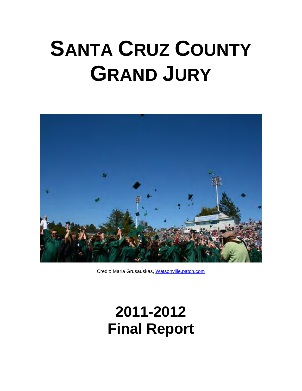# **SANTA CRUZ COUNTY GRAND JURY**



Credit: Maria Grusauskas, Watsonville.patch.com

## **2011-2012 Final Report**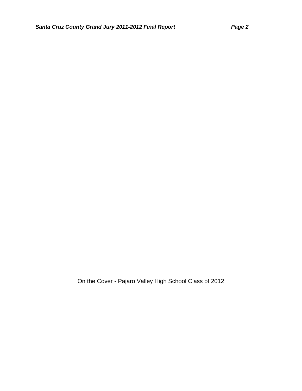On the Cover - Pajaro Valley High School Class of 2012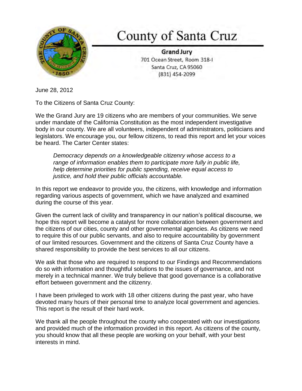

## County of Santa Cruz

**Grand Jury** 701 Ocean Street, Room 318-I Santa Cruz, CA 95060 (831) 454-2099

June 28, 2012

To the Citizens of Santa Cruz County:

We the Grand Jury are 19 citizens who are members of your communities. We serve under mandate of the California Constitution as the most independent investigative body in our county. We are all volunteers, independent of administrators, politicians and legislators. We encourage you, our fellow citizens, to read this report and let your voices be heard. The Carter Center states:

*Democracy depends on a knowledgeable citizenry whose access to a range of information enables them to participate more fully in public life, help determine priorities for public spending, receive equal access to justice, and hold their public officials accountable.* 

In this report we endeavor to provide you, the citizens, with knowledge and information regarding various aspects of government, which we have analyzed and examined during the course of this year.

Given the current lack of civility and transparency in our nation's political discourse, we hope this report will become a catalyst for more collaboration between government and the citizens of our cities, county and other governmental agencies. As citizens we need to require this of our public servants, and also to require accountability by government of our limited resources. Government and the citizens of Santa Cruz County have a shared responsibility to provide the best services to all our citizens.

We ask that those who are required to respond to our Findings and Recommendations do so with information and thoughtful solutions to the issues of governance, and not merely in a technical manner. We truly believe that good governance is a collaborative effort between government and the citizenry.

I have been privileged to work with 18 other citizens during the past year, who have devoted many hours of their personal time to analyze local government and agencies. This report is the result of their hard work.

We thank all the people throughout the county who cooperated with our investigations and provided much of the information provided in this report. As citizens of the county, you should know that all these people are working on your behalf, with your best interests in mind.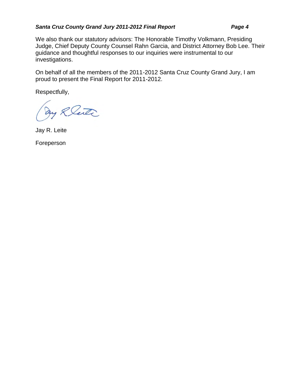#### *Santa Cruz County Grand Jury 2011-2012 Final Report Page 4*

We also thank our statutory advisors: The Honorable Timothy Volkmann, Presiding Judge, Chief Deputy County Counsel Rahn Garcia, and District Attorney Bob Lee. Their guidance and thoughtful responses to our inquiries were instrumental to our investigations.

On behalf of all the members of the 2011-2012 Santa Cruz County Grand Jury, I am proud to present the Final Report for 2011-2012.

Respectfully,

Rente

Jay R. Leite

Foreperson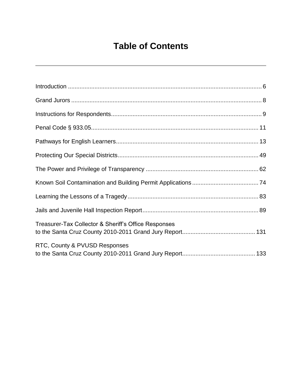## **Table of Contents**

| Treasurer-Tax Collector & Sheriff's Office Responses |  |
|------------------------------------------------------|--|
| RTC, County & PVUSD Responses                        |  |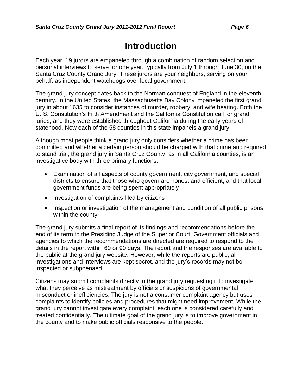## **Introduction**

Each year, 19 jurors are empaneled through a combination of random selection and personal interviews to serve for one year, typically from July 1 through June 30, on the Santa Cruz County Grand Jury. These jurors are your neighbors, serving on your behalf, as independent watchdogs over local government.

The grand jury concept dates back to the Norman conquest of England in the eleventh century. In the United States, the Massachusetts Bay Colony impaneled the first grand jury in about 1635 to consider instances of murder, robbery, and wife beating. Both the U. S. Constitution's Fifth Amendment and the California Constitution call for grand juries, and they were established throughout California during the early years of statehood. Now each of the 58 counties in this state impanels a grand jury.

Although most people think a grand jury only considers whether a crime has been committed and whether a certain person should be charged with that crime and required to stand trial, the grand jury in Santa Cruz County, as in all California counties, is an investigative body with three primary functions:

- Examination of all aspects of county government, city government, and special districts to ensure that those who govern are honest and efficient; and that local government funds are being spent appropriately
- Investigation of complaints filed by citizens
- Inspection or investigation of the management and condition of all public prisons within the county

The grand jury submits a final report of its findings and recommendations before the end of its term to the Presiding Judge of the Superior Court. Government officials and agencies to which the recommendations are directed are required to respond to the details in the report within 60 or 90 days. The report and the responses are available to the public at the grand jury website. However, while the reports are public, all investigations and interviews are kept secret, and the jury's records may not be inspected or subpoenaed.

Citizens may submit complaints directly to the grand jury requesting it to investigate what they perceive as mistreatment by officials or suspicions of governmental misconduct or inefficiencies. The jury is not a consumer complaint agency but uses complaints to identify policies and procedures that might need improvement. While the grand jury cannot investigate every complaint, each one is considered carefully and treated confidentially. The ultimate goal of the grand jury is to improve government in the county and to make public officials responsive to the people.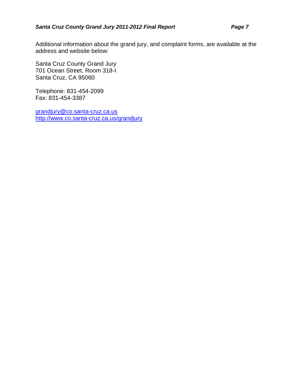Additional information about the grand jury, and complaint forms, are available at the address and website below:

Santa Cruz County Grand Jury 701 Ocean Street, Room 318-I Santa Cruz, CA 95060

Telephone: 831-454-2099 Fax: 831-454-3387

grandjury@co.santa-cruz.ca.us http://www.co.santa-cruz.ca.us/grandjury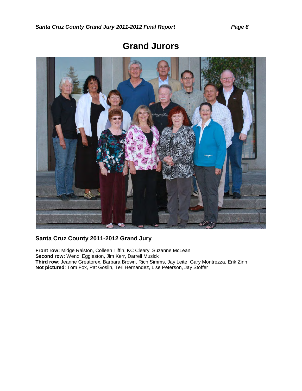

### **Grand Jurors**

#### **Santa Cruz County 2011-2012 Grand Jury**

**Front row:** Midge Ralston, Colleen Tiffin, KC Cleary, Suzanne McLean **Second row:** Wendi Eggleston, Jim Kerr, Darrell Musick **Third row**: Jeanne Greatorex, Barbara Brown, Rich Simms, Jay Leite, Gary Montrezza, Erik Zinn **Not pictured**: Tom Fox, Pat Goslin, Teri Hernandez, Lise Peterson, Jay Stoffer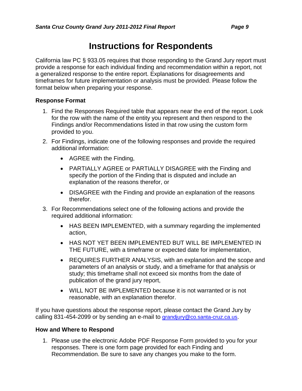## **Instructions for Respondents**

California law PC § 933.05 requires that those responding to the Grand Jury report must provide a response for each individual finding and recommendation within a report, not a generalized response to the entire report. Explanations for disagreements and timeframes for future implementation or analysis must be provided. Please follow the format below when preparing your response.

#### **Response Format**

- 1. Find the Responses Required table that appears near the end of the report. Look for the row with the name of the entity you represent and then respond to the Findings and/or Recommendations listed in that row using the custom form provided to you.
- 2. For Findings, indicate one of the following responses and provide the required additional information:
	- AGREE with the Finding,
	- PARTIALLY AGREE or PARTIALLY DISAGREE with the Finding and specify the portion of the Finding that is disputed and include an explanation of the reasons therefor, or
	- DISAGREE with the Finding and provide an explanation of the reasons therefor.
- 3. For Recommendations select one of the following actions and provide the required additional information:
	- HAS BEEN IMPLEMENTED, with a summary regarding the implemented action,
	- HAS NOT YET BEEN IMPLEMENTED BUT WILL BE IMPLEMENTED IN THE FUTURE, with a timeframe or expected date for implementation,
	- REQUIRES FURTHER ANALYSIS, with an explanation and the scope and parameters of an analysis or study, and a timeframe for that analysis or study; this timeframe shall not exceed six months from the date of publication of the grand jury report,
	- WILL NOT BE IMPLEMENTED because it is not warranted or is not reasonable, with an explanation therefor.

If you have questions about the response report, please contact the Grand Jury by calling 831-454-2099 or by sending an e-mail to grandjury@co.santa-cruz.ca.us.

#### **How and Where to Respond**

1. Please use the electronic Adobe PDF Response Form provided to you for your responses. There is one form page provided for each Finding and Recommendation. Be sure to save any changes you make to the form.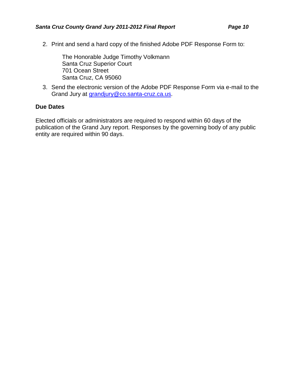2. Print and send a hard copy of the finished Adobe PDF Response Form to:

The Honorable Judge Timothy Volkmann Santa Cruz Superior Court 701 Ocean Street Santa Cruz, CA 95060

3. Send the electronic version of the Adobe PDF Response Form via e-mail to the Grand Jury at grandjury@co.santa-cruz.ca.us.

#### **Due Dates**

Elected officials or administrators are required to respond within 60 days of the publication of the Grand Jury report. Responses by the governing body of any public entity are required within 90 days.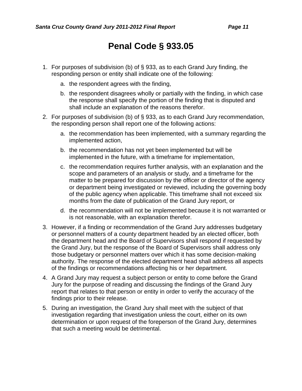## **Penal Code § 933.05**

- 1. For purposes of subdivision (b) of § 933, as to each Grand Jury finding, the responding person or entity shall indicate one of the following:
	- a. the respondent agrees with the finding,
	- b. the respondent disagrees wholly or partially with the finding, in which case the response shall specify the portion of the finding that is disputed and shall include an explanation of the reasons therefor.
- 2. For purposes of subdivision (b) of § 933, as to each Grand Jury recommendation, the responding person shall report one of the following actions:
	- a. the recommendation has been implemented, with a summary regarding the implemented action,
	- b. the recommendation has not yet been implemented but will be implemented in the future, with a timeframe for implementation,
	- c. the recommendation requires further analysis, with an explanation and the scope and parameters of an analysis or study, and a timeframe for the matter to be prepared for discussion by the officer or director of the agency or department being investigated or reviewed, including the governing body of the public agency when applicable. This timeframe shall not exceed six months from the date of publication of the Grand Jury report, or
	- d. the recommendation will not be implemented because it is not warranted or is not reasonable, with an explanation therefor.
- 3. However, if a finding or recommendation of the Grand Jury addresses budgetary or personnel matters of a county department headed by an elected officer, both the department head and the Board of Supervisors shall respond if requested by the Grand Jury, but the response of the Board of Supervisors shall address only those budgetary or personnel matters over which it has some decision-making authority. The response of the elected department head shall address all aspects of the findings or recommendations affecting his or her department.
- 4. A Grand Jury may request a subject person or entity to come before the Grand Jury for the purpose of reading and discussing the findings of the Grand Jury report that relates to that person or entity in order to verify the accuracy of the findings prior to their release.
- 5. During an investigation, the Grand Jury shall meet with the subject of that investigation regarding that investigation unless the court, either on its own determination or upon request of the foreperson of the Grand Jury, determines that such a meeting would be detrimental.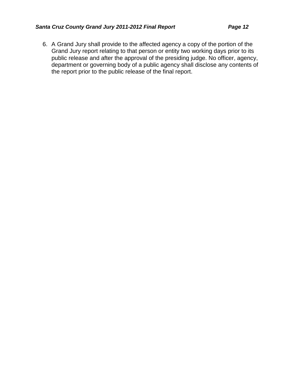6. A Grand Jury shall provide to the affected agency a copy of the portion of the Grand Jury report relating to that person or entity two working days prior to its public release and after the approval of the presiding judge. No officer, agency, department or governing body of a public agency shall disclose any contents of the report prior to the public release of the final report.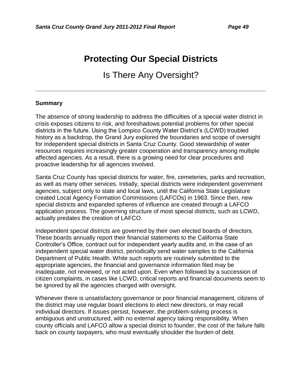## **Protecting Our Special Districts**

Is There Any Oversight?

#### **Summary**

The absence of strong leadership to address the difficulties of a special water district in crisis exposes citizens to risk, and foreshadows potential problems for other special districts in the future. Using the Lompico County Water District's (LCWD) troubled history as a backdrop, the Grand Jury explored the boundaries and scope of oversight for independent special districts in Santa Cruz County. Good stewardship of water resources requires increasingly greater cooperation and transparency among multiple affected agencies. As a result, there is a growing need for clear procedures and proactive leadership for all agencies involved.

Santa Cruz County has special districts for water, fire, cemeteries, parks and recreation, as well as many other services. Initially, special districts were independent government agencies, subject only to state and local laws, until the California State Legislature created Local Agency Formation Commissions (LAFCOs) in 1963. Since then, new special districts and expanded spheres of influence are created through a LAFCO application process. The governing structure of most special districts, such as LCWD, actually predates the creation of LAFCO.

Independent special districts are governed by their own elected boards of directors. These boards annually report their financial statements to the California State Controller's Office, contract out for independent yearly audits and, in the case of an independent special water district, periodically send water samples to the California Department of Public Health. While such reports are routinely submitted to the appropriate agencies, the financial and governance information filed may be inadequate, not reviewed, or not acted upon. Even when followed by a succession of citizen complaints, in cases like LCWD, critical reports and financial documents seem to be ignored by all the agencies charged with oversight.

Whenever there is unsatisfactory governance or poor financial management, citizens of the district may use regular board elections to elect new directors, or may recall individual directors. If issues persist, however, the problem-solving process is ambiguous and unstructured, with no external agency taking responsibility. When county officials and LAFCO allow a special district to founder, the cost of the failure falls back on county taxpayers, who must eventually shoulder the burden of debt.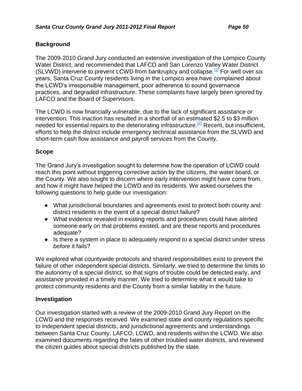#### **Background**

The 2009-2010 Grand Jury conducted an extensive investigation of the Lompico County Water District, and recommended that LAFCO and San Lorenzo Valley Water District (SLVWD) intervene to prevent LCWD from bankruptcy and collapse.  $[1]$  For well over six years, Santa Cruz County residents living in the Lompico area have complained about the LCWD's irresponsible management, poor adherence to sound governance practices, and degraded infrastructure. These complaints have largely been ignored by LAFCO and the Board of Supervisors.

The LCWD is now financially vulnerable, due to the lack of significant assistance or intervention. This inaction has resulted in a shortfall of an estimated \$2.5 to \$3 million needed for essential repairs to the deteriorating infrastructure.<sup>[2]</sup> Recent, but insufficient, efforts to help the district include emergency technical assistance from the SLVWD and short-term cash flow assistance and payroll services from the County.

#### **Scope**

The Grand Jury's investigation sought to determine how the operation of LCWD could reach this point without triggering corrective action by the citizens, the water board, or the County. We also sought to discern where early intervention might have come from, and how it might have helped the LCWD and its residents. We asked ourselves the following questions to help guide our investigation:

- What jurisdictional boundaries and agreements exist to protect both county and district residents in the event of a special district failure?
- What evidence revealed in existing reports and procedures could have alerted someone early on that problems existed, and are these reports and procedures adequate?
- Is there a system in place to adequately respond to a special district under stress *before* it fails?

We explored what countywide protocols and shared responsibilities exist to prevent the failure of other independent special districts. Similarly, we tried to determine the limits to the autonomy of a special district, so that signs of trouble could be detected early, and assistance provided in a timely manner. We tried to determine what it would take to protect community residents and the County from a similar liability in the future.

#### **Investigation**

Our investigation started with a review of the 2009-2010 Grand Jury Report on the LCWD and the responses received. We examined state and county regulations specific to independent special districts, and jurisdictional agreements and understandings between Santa Cruz County, LAFCO, LCWD, and residents within the LCWD. We also examined documents regarding the fates of other troubled water districts, and reviewed the citizen guides about special districts published by the state.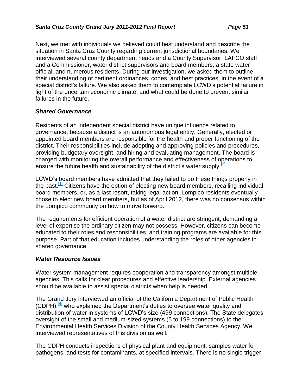Next, we met with individuals we believed could best understand and describe the situation in Santa Cruz County regarding current jurisdictional boundaries. We interviewed several county department heads and a County Supervisor, LAFCO staff and a Commissioner, water district supervisors and board members, a state water official, and numerous residents. During our investigation, we asked them to outline their understanding of pertinent ordinances, codes, and best practices, in the event of a special district's failure. We also asked them to contemplate LCWD's potential failure in light of the uncertain economic climate, and what could be done to prevent similar failures in the future.

#### *Shared Governance*

Residents of an independent special district have unique influence related to governance, because a district is an autonomous legal entity. Generally, elected or appointed board members are responsible for the health and proper functioning of the district. Their responsibilities include adopting and approving policies and procedures, providing budgetary oversight, and hiring and evaluating management. The board is charged with monitoring the overall performance and effectiveness of operations to ensure the future health and sustainability of the district's water supply.<sup>[3]</sup>

LCWD's board members have admitted that they failed to do these things properly in the past.<sup>[1]</sup> Citizens have the option of electing new board members, recalling individual board members, or, as a last resort, taking legal action. Lompico residents eventually chose to elect new board members, but as of April 2012, there was no consensus within the Lompico community on how to move forward.

The requirements for efficient operation of a water district are stringent, demanding a level of expertise the ordinary citizen may not possess. However, citizens can become educated to their roles and responsibilities, and training programs are available for this purpose. Part of that education includes understanding the roles of other agencies in shared governance.

#### *Water Resource Issues*

Water system management requires cooperation and transparency amongst multiple agencies. This calls for clear procedures and effective leadership. External agencies should be available to assist special districts when help is needed.

The Grand Jury interviewed an official of the California Department of Public Health (CDPH),  $[4]$  who explained the Department's duties to oversee water quality and distribution of water in systems of LCWD's size (499 connections). The State delegates oversight of the small and medium-sized systems (5 to 199 connections) to the Environmental Health Services Division of the County Health Services Agency. We interviewed representatives of this division as well.

The CDPH conducts inspections of physical plant and equipment, samples water for pathogens, and tests for contaminants, at specified intervals. There is no single trigger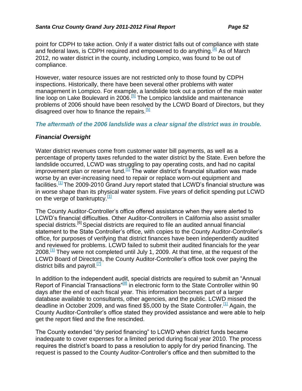point for CDPH to take action. Only if a water district falls out of compliance with state and federal laws, is CDPH required and empowered to do anything.  $[4]$  As of March 2012, no water district in the county, including Lompico, was found to be out of compliance.

However, water resource issues are not restricted only to those found by CDPH inspections. Historically, there have been several other problems with water management in Lompico. For example, a landslide took out a portion of the main water line loop on Lake Boulevard in 2006.<sup>[5]</sup> The Lompico landslide and maintenance problems of 2006 should have been resolved by the LCWD Board of Directors, but they disagreed over how to finance the repairs.<sup>[5]</sup>

#### *The aftermath of the 2006 landslide was a clear signal the district was in trouble.*

#### *Financial Oversight*

Water district revenues come from customer water bill payments, as well as a percentage of property taxes refunded to the water district by the State. Even before the landslide occurred, LCWD was struggling to pay operating costs, and had no capital improvement plan or reserve fund.<sup>[1]</sup> The water district's financial situation was made worse by an ever-increasing need to repair or replace worn-out equipment and facilities.<sup>[1]</sup> The 2009-2010 Grand Jury report stated that LCWD's financial structure was in worse shape than its physical water system. Five years of deficit spending put LCWD on the verge of bankruptcy. $[1]$ 

The County Auditor-Controller's office offered assistance when they were alerted to LCWD's financial difficulties. Other Auditor-Controllers in California also assist smaller special districts.<sup>[6]</sup> Special districts are required to file an audited annual financial statement to the State Controller's office, with copies to the County Auditor-Controller's office, for purposes of verifying that district finances have been independently audited and reviewed for problems. LCWD failed to submit their audited financials for the year 2008.<sup>[1]</sup> They were not completed until July 1, 2009. At that time, at the request of the LCWD Board of Directors, the County Auditor-Controller's office took over paying the district bills and payroll. $\Box$ 

In addition to the independent audit, special districts are required to submit an "Annual Report of Financial Transactions<sup>"[8]</sup> in electronic form to the State Controller within 90 days after the end of each fiscal year. This information becomes part of a larger database available to consultants, other agencies, and the public. LCWD missed the deadline in October 2009, and was fined \$5,000 by the State Controller.<sup>[1]</sup> Again, the County Auditor-Controller's office stated they provided assistance and were able to help get the report filed and the fine rescinded.

The County extended "dry period financing" to LCWD when district funds became inadequate to cover expenses for a limited period during fiscal year 2010. The process requires the district's board to pass a resolution to apply for dry period financing. The request is passed to the County Auditor-Controller's office and then submitted to the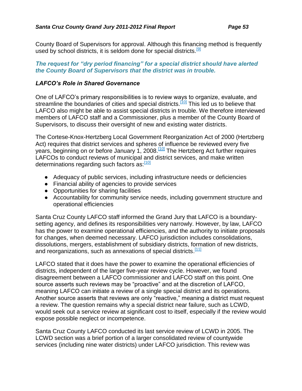County Board of Supervisors for approval. Although this financing method is frequently used by school districts, it is seldom done for special districts.<sup>[9]</sup>

#### *The request for "dry period financing" for a special district should have alerted the County Board of Supervisors that the district was in trouble.*

#### *LAFCO's Role in Shared Governance*

One of LAFCO's primary responsibilities is to review ways to organize, evaluate, and streamline the boundaries of cities and special districts.<sup>[10]</sup> This led us to believe that LAFCO also might be able to assist special districts in trouble. We therefore interviewed members of LAFCO staff and a Commissioner, plus a member of the County Board of Supervisors, to discuss their oversight of new and existing water districts.

The Cortese-Knox-Hertzberg Local Government Reorganization Act of 2000 (Hertzberg Act) requires that district services and spheres of influence be reviewed every five years, beginning on or before January 1, 2008.<sup>[10]</sup> The Hertzberg Act further requires LAFCOs to conduct reviews of municipal and district services, and make written determinations regarding such factors as: [10]

- Adequacy of public services, including infrastructure needs or deficiencies
- **●** Financial ability of agencies to provide services
- **●** Opportunities for sharing facilities
- **●** Accountability for community service needs, including government structure and operational efficiencies

Santa Cruz County LAFCO staff informed the Grand Jury that LAFCO is a boundarysetting agency, and defines its responsibilities very narrowly. However, by law, LAFCO has the power to examine operational efficiencies, and the authority to initiate proposals for changes, when deemed necessary. LAFCO jurisdiction includes consolidations, dissolutions, mergers, establishment of subsidiary districts, formation of new districts, and reorganizations, such as annexations of special districts.<sup>[11]</sup>

LAFCO stated that it does have the power to examine the operational efficiencies of districts, independent of the larger five-year review cycle. However, we found disagreement between a LAFCO commissioner and LAFCO staff on this point. One source asserts such reviews may be "proactive" and at the discretion of LAFCO, meaning LAFCO can initiate a review of a single special district and its operations. Another source asserts that reviews are only "reactive," meaning a district must request a review. The question remains why a special district near failure, such as LCWD, would seek out a service review at significant cost to itself, especially if the review would expose possible neglect or incompetence.

Santa Cruz County LAFCO conducted its last service review of LCWD in 2005. The LCWD section was a brief portion of a larger consolidated review of countywide services (including nine water districts) under LAFCO jurisdiction. This review was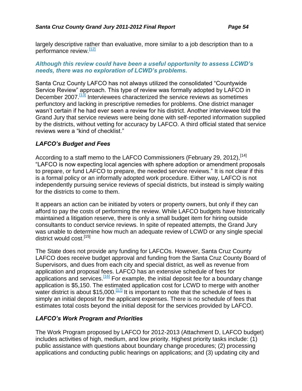largely descriptive rather than evaluative, more similar to a job description than to a performance review.<sup>[12]</sup>

#### *Although this review could have been a useful opportunity to assess LCWD's needs, there was no exploration of LCWD's problems.*

Santa Cruz County LAFCO has not always utilized the consolidated "Countywide Service Review" approach. This type of review was formally adopted by LAFCO in December 2007.<sup>[13]</sup> Interviewees characterized the service reviews as sometimes perfunctory and lacking in prescriptive remedies for problems. One district manager wasn't certain if he had ever seen a review for his district. Another interviewee told the Grand Jury that service reviews were being done with self-reported information supplied by the districts, without vetting for accuracy by LAFCO. A third official stated that service reviews were a "kind of checklist."

#### *LAFCO's Budget and Fees*

According to a staff memo to the LAFCO Commissioners (February 29, 2012).<sup>[14]</sup> "LAFCO is now expecting local agencies with sphere adoption or amendment proposals to prepare, or fund LAFCO to prepare, the needed service reviews." It is not clear if this is a formal policy or an informally adopted work procedure. Either way, LAFCO is not independently pursuing service reviews of special districts, but instead is simply waiting for the districts to come to them.

It appears an action can be initiated by voters or property owners, but only if they can afford to pay the costs of performing the review. While LAFCO budgets have historically maintained a litigation reserve, there is only a small budget item for hiring outside consultants to conduct service reviews. In spite of repeated attempts, the Grand Jury was unable to determine how much an adequate review of LCWD or any single special district would cost.<sup>[15]</sup>

The State does not provide any funding for LAFCOs. However, Santa Cruz County LAFCO does receive budget approval and funding from the Santa Cruz County Board of Supervisors, and dues from each city and special district, as well as revenue from application and proposal fees. LAFCO has an extensive schedule of fees for applications and services.<sup>[16]</sup> For example, the initial deposit fee for a boundary change application is \$5,150. The estimated application cost for LCWD to merge with another water district is about \$15,000.<sup>[17]</sup> It is important to note that the schedule of fees is simply an initial deposit for the applicant expenses. There is no schedule of fees that estimates total costs beyond the initial deposit for the services provided by LAFCO.

#### *LAFCO's Work Program and Priorities*

The Work Program proposed by LAFCO for 2012-2013 (Attachment D, LAFCO budget) includes activities of high, medium, and low priority. Highest priority tasks include: (1) public assistance with questions about boundary change procedures; (2) processing applications and conducting public hearings on applications; and (3) updating city and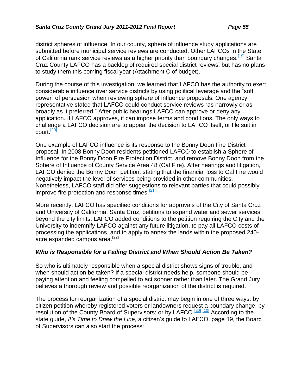district spheres of influence. In our county, sphere of influence study applications are submitted before municipal service reviews are conducted. Other LAFCOs in the State of California rank service reviews as a higher priority than boundary changes.<sup>[19]</sup> Santa Cruz County LAFCO has a backlog of required special district reviews, but has no plans to study them this coming fiscal year (Attachment C of budget).

During the course of this investigation, we learned that LAFCO has the authority to exert considerable influence over service districts by using political leverage and the "soft power" of persuasion when reviewing sphere of influence proposals. One agency representative stated that LAFCO could conduct service reviews "as narrowly or as broadly as it preferred." After public hearings LAFCO can approve or deny any application. If LAFCO approves, it can impose terms and conditions. The only ways to challenge a LAFCO decision are to appeal the decision to LAFCO itself, or file suit in court. $\frac{[20]}{[20]}$ 

One example of LAFCO influence is its response to the Bonny Doon Fire District proposal. In 2008 Bonny Doon residents petitioned LAFCO to establish a Sphere of Influence for the Bonny Doon Fire Protection District, and remove Bonny Doon from the Sphere of Influence of County Service Area 48 (Cal Fire). After hearings and litigation, LAFCO denied the Bonny Doon petition, stating that the financial loss to Cal Fire would negatively impact the level of services being provided in other communities. Nonetheless, LAFCO staff did offer suggestions to relevant parties that could possibly improve fire protection and response times. $\frac{[21]}{[21]}$ 

More recently, LAFCO has specified conditions for approvals of the City of Santa Cruz and University of California, Santa Cruz, petitions to expand water and sewer services beyond the city limits. LAFCO added conditions to the petition requiring the City and the University to indemnify LAFCO against any future litigation, to pay all LAFCO costs of processing the applications, and to apply to annex the lands within the proposed 240 acre expanded campus area.<sup>[22]</sup>

#### *Who is Responsible for a Failing District and When Should Action Be Taken?*

So who is ultimately responsible when a special district shows signs of trouble, and when should action be taken? If a special district needs help, someone should be paying attention and feeling compelled to act sooner rather than later. The Grand Jury believes a thorough review and possible reorganization of the district is required.

The process for reorganization of a special district may begin in one of three ways: by citizen petition whereby registered voters or landowners request a boundary change; by resolution of the County Board of Supervisors; or by LAFCO.<sup>[20]</sup> [10] According to the state guide, *It's Time to Draw the Line,* a citizen's guide to LAFCO, page 19, the Board of Supervisors can also start the process: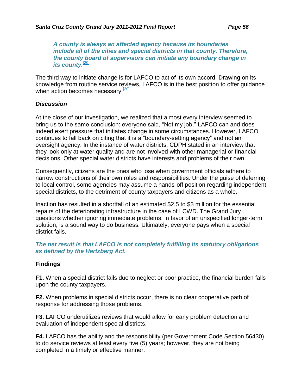*A county is always an affected agency because its boundaries include all of the cities and special districts in that county. Therefore, the county board of supervisors can initiate any boundary change in its county.*<sup>[20]</sup>

The third way to initiate change is for LAFCO to act of its own accord. Drawing on its knowledge from routine service reviews, LAFCO is in the best position to offer guidance when action becomes necessary. $\frac{[20]}{2}$ 

#### *Discussion*

At the close of our investigation, we realized that almost every interview seemed to bring us to the same conclusion: everyone said, "Not my job." LAFCO can and does indeed exert pressure that initiates change in some circumstances. However, LAFCO continues to fall back on citing that it is a "boundary-setting agency" and not an oversight agency. In the instance of water districts, CDPH stated in an interview that they look only at water quality and are not involved with other managerial or financial decisions. Other special water districts have interests and problems of their own.

Consequently, citizens are the ones who lose when government officials adhere to narrow constructions of their own roles and responsibilities. Under the guise of deferring to local control, some agencies may assume a hands-off position regarding independent special districts, to the detriment of county taxpayers and citizens as a whole.

Inaction has resulted in a shortfall of an estimated \$2.5 to \$3 million for the essential repairs of the deteriorating infrastructure in the case of LCWD. The Grand Jury questions whether ignoring immediate problems, in favor of an unspecified longer-term solution, is a sound way to do business. Ultimately, everyone pays when a special district fails.

#### *The net result is that LAFCO is not completely fulfilling its statutory obligations as defined by the Hertzberg Act.*

#### **Findings**

**F1.** When a special district fails due to neglect or poor practice, the financial burden falls upon the county taxpayers.

**F2.** When problems in special districts occur, there is no clear cooperative path of response for addressing those problems.

**F3.** LAFCO underutilizes reviews that would allow for early problem detection and evaluation of independent special districts.

**F4.** LAFCO has the ability and the responsibility (per Government Code Section 56430) to do service reviews at least every five (5) years; however, they are not being completed in a timely or effective manner.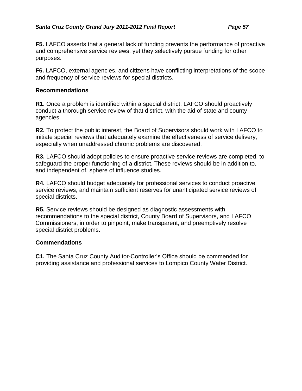**F5.** LAFCO asserts that a general lack of funding prevents the performance of proactive and comprehensive service reviews, yet they selectively pursue funding for other purposes.

**F6.** LAFCO, external agencies, and citizens have conflicting interpretations of the scope and frequency of service reviews for special districts.

#### **Recommendations**

**R1.** Once a problem is identified within a special district, LAFCO should proactively conduct a thorough service review of that district, with the aid of state and county agencies.

**R2.** To protect the public interest, the Board of Supervisors should work with LAFCO to initiate special reviews that adequately examine the effectiveness of service delivery, especially when unaddressed chronic problems are discovered.

**R3.** LAFCO should adopt policies to ensure proactive service reviews are completed, to safeguard the proper functioning of a district. These reviews should be in addition to, and independent of, sphere of influence studies.

**R4.** LAFCO should budget adequately for professional services to conduct proactive service reviews, and maintain sufficient reserves for unanticipated service reviews of special districts.

**R5.** Service reviews should be designed as diagnostic assessments with recommendations to the special district, County Board of Supervisors, and LAFCO Commissioners, in order to pinpoint, make transparent, and preemptively resolve special district problems.

#### **Commendations**

**C1.** The Santa Cruz County Auditor-Controller's Office should be commended for providing assistance and professional services to Lompico County Water District.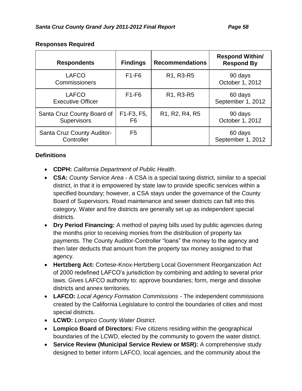| <b>Respondents</b>                               | <b>Findings</b>  | <b>Recommendations</b>                                            | <b>Respond Within/</b><br><b>Respond By</b> |
|--------------------------------------------------|------------------|-------------------------------------------------------------------|---------------------------------------------|
| <b>LAFCO</b><br><b>Commissioners</b>             | $F1-F6$          | R1, R3-R5                                                         | 90 days<br>October 1, 2012                  |
| <b>LAFCO</b><br><b>Executive Officer</b>         | $F1-F6$          | R <sub>1</sub> , R <sub>3</sub> -R <sub>5</sub>                   | 60 days<br>September 1, 2012                |
| Santa Cruz County Board of<br><b>Supervisors</b> | F1-F3, F5,<br>F6 | R <sub>1</sub> , R <sub>2</sub> , R <sub>4</sub> , R <sub>5</sub> | 90 days<br>October 1, 2012                  |
| <b>Santa Cruz County Auditor-</b><br>Controller  | F <sub>5</sub>   |                                                                   | 60 days<br>September 1, 2012                |

#### **Responses Required**

#### **Definitions**

- **CDPH:** *California Department of Public Health*.
- **CSA:** *County Service Area* A CSA is a special taxing district, similar to a special district, in that it is empowered by state law to provide specific services within a specified boundary; however, a CSA stays under the governance of the County Board of Supervisors. Road maintenance and sewer districts can fall into this category. Water and fire districts are generally set up as independent special districts.
- **Dry Period Financing:** A method of paying bills used by public agencies during the months prior to receiving monies from the distribution of property tax payments. The County Auditor-Controller "loans" the money to the agency and then later deducts that amount from the property tax money assigned to that agency.
- **Hertzberg Act:** Cortese-Knox-Hertzberg Local Government Reorganization Act of 2000 redefined LAFCO's jurisdiction by combining and adding to several prior laws. Gives LAFCO authority to: approve boundaries; form, merge and dissolve districts and annex territories.
- **LAFCO:** *Local Agency Formation Commissions* The independent commissions created by the California Legislature to control the boundaries of cities and most special districts.
- **LCWD:** *Lompico County Water District*.
- **Lompico Board of Directors:** Five citizens residing within the geographical boundaries of the LCWD, elected by the community to govern the water district.
- **Service Review (Municipal Service Review or MSR):** A comprehensive study designed to better inform LAFCO, local agencies, and the community about the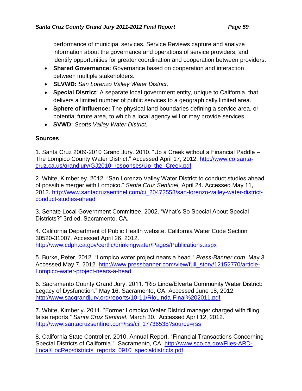performance of municipal services. Service Reviews capture and analyze information about the governance and operations of service providers, and identify opportunities for greater coordination and cooperation between providers.

- **Shared Governance:** Governance based on cooperation and interaction between multiple stakeholders.
- **SLVWD:** *San Lorenzo Valley Water District.*
- **Special District:** A separate local government entity, unique to California, that delivers a limited number of public services to a geographically limited area.
- **Sphere of Influence:** The physical land boundaries defining a service area, or potential future area, to which a local agency will or may provide services.
- **SVWD:** *Scotts Valley Water District.*

#### **Sources**

1. Santa Cruz 2009-2010 Grand Jury. 2010. "Up a Creek without a Financial Paddle – The Lompico County Water District." Accessed April 17, 2012. http://www.co.santacruz.ca.us/grandjury/GJ2010\_responses/Up\_the\_Creek.pdf

2. White, Kimberley. 2012. "San Lorenzo Valley Water District to conduct studies ahead of possible merger with Lompico." *Santa Cruz Sentinel,* April 24. Accessed May 11, 2012. http://www.santacruzsentinel.com/ci\_20472558/san-lorenzo-valley-water-districtconduct-studies-ahead

3. Senate Local Government Committee. 2002. "What's So Special About Special Districts?" 3rd ed. Sacramento, CA.

4. California Department of Public Health website. California Water Code Section 30520-31007. Accessed April 26, 2012. http://www.cdph.ca.gov/certlic/drinkingwater/Pages/Publications.aspx

5. Burke, Peter, 2012. "Lompico water project nears a head." *Press-Banner.com*, May 3. Accessed May 7, 2012. http://www.pressbanner.com/view/full\_story/12152770/article-Lompico-water-project-nears-a-head

6. Sacramento County Grand Jury. 2011. "Rio Linda/Elverta Community Water District: Legacy of Dysfunction." May 16. Sacramento, CA. Accessed June 18, 2012. http://www.sacgrandjury.org/reports/10-11/RioLinda-Final%202011.pdf

7. White, Kimberly. 2011. "Former Lompico Water District manager charged with filing false reports." *Santa Cruz Sentinel*, March 30. Accessed April 12, 2012. http://www.santacruzsentinel.com/rss/ci\_17736538?source=rss

8. California State Controller. 2010. Annual Report. "Financial Transactions Concerning Special Districts of California." Sacramento, CA. http://www.sco.ca.gov/Files-ARD-Local/LocRep/districts\_reports\_0910\_specialdistricts.pdf